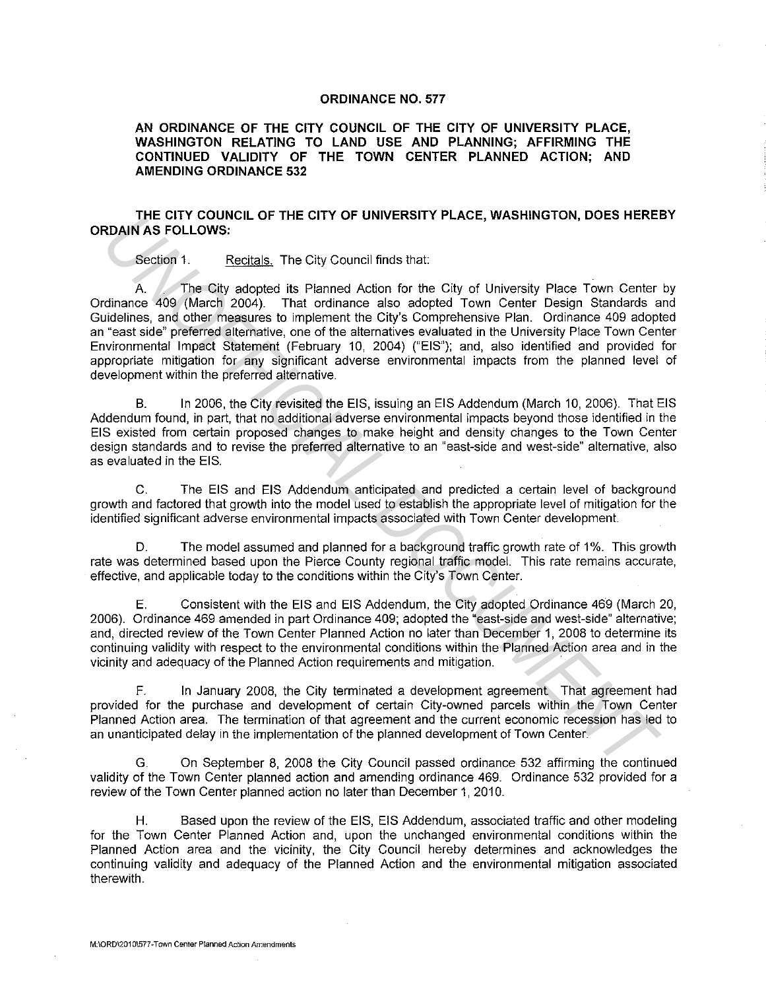## **ORDINANCE NO. 577**

**AN ORDINANCE OF THE CITY COUNCIL OF THE CITY OF UNIVERSITY PLACE, WASHINGTON RELATING TO LAND USE AND PLANNING; AFFIRMING THE CONTINUED VALIDITY OF THE TOWN CENTER PLANNED ACTION; AND AMENDING ORDINANCE 532** 

## **THE CITY COUNCIL OF THE CITY OF UNIVERSITY PLACE, WASHINGTON, DOES HEREBY ORDAIN AS FOLLOWS:**

Section 1. Recitals. The City Council finds that:

A. The City adopted its Planned Action for the City of University Place Town Center by Ordinance 409 (March 2004). That ordinance also adopted Town Center Design Standards and Guidelines, and other measures to implement the City's Comprehensive Plan. Ordinance 409 adopted an "east side" preferred alternative, one of the alternatives evaluated in the University Place Town Center Environmental Impact Statement (February 10, 2004) ("EIS"); and, also identified and provided for appropriate mitigation for any significant adverse environmental impacts from the planned level of development within the preferred alternative. **UNITE CHTV OF UNIVERSITY PLACE, WASHINGTON, UDES HEREN<br>
ROAIN AS FOLLOWS:**<br>
Section 1. Recizials. The City Council finds that<br>
A The City adopted its Planned Action for the City of University Place Town Center<br>
didense an

B. In 2006, the City revisited the EIS, issuing an EIS Addendum (March 10, 2006). That EIS Addendum found, in part, that no additional adverse environmental impacts beyond those identified in the EIS existed from certain proposed changes to make height and density changes to the Town Center design standards and to revise the preferred alternative to an "east-side and west-side" alternative, also as evaluated in the EIS.

C. The EIS and EIS Addendum anticipated and predicted a certain level of background growth and factored that growth into the model used to establish the appropriate level of mitigation for the identified significant adverse environmental impacts associated with Town Center development.

D. The model assumed and planned for a background traffic growth rate of 1%. This growth rate was determined based upon the Pierce County regional traffic model. This rate remains accurate, effective, and applicable today to the conditions within the City's Town Center.

E. Consistent with the EIS and EIS Addendum, the City adopted Ordinance 469 (March 20, 2006). Ordinance 469 amended in part Ordinance 409; adopted the "east-side and west-side" alternative; and, directed review of the Town Center Planned Action no later than December 1, 2008 to determine its continuing validity with respect to the environmental conditions within the Planned Action area and in the vicinity and adequacy of the Planned Action requirements and mitigation.

F. In January 2008, the City terminated a development agreement That agreement had provided for the purchase and development of certain City-owned parcels within the Town Center Planned Action area. The termination of that agreement and the current economic recession has led to an unanticipated delay in the implementation of the planned development of Town Center.

G. On September 8, 2008 the City Council passed ordinance 532 affirming the continued validity of the Town Center planned action and amending ordinance 469. Ordinance 532 provided for a review of the Town Center planned action no later than December 1, 2010.

H. Based upon the review of the EIS, EIS Addendum, associated traffic and other modeling for the Town Center Planned Action and, upon the unchanged environmental conditions within the Planned Action area and the vicinity, the City Council hereby determines and acknowledges the continuing validity and adequacy of the Planned Action and the environmental mitigation associated therewith.